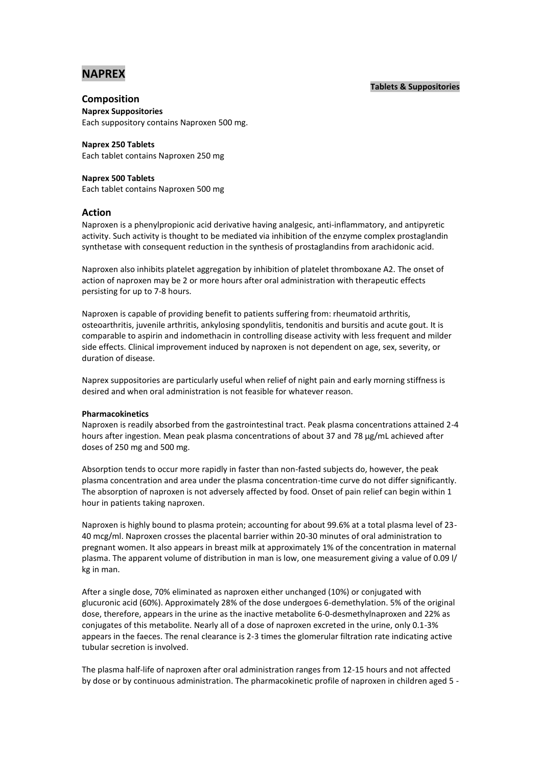# **NAPREX**

# **Tablets & Suppositories**

# **Composition**

**Naprex Suppositories** Each suppository contains Naproxen 500 mg.

**Naprex 250 Tablets** Each tablet contains Naproxen 250 mg

# **Naprex 500 Tablets**

Each tablet contains Naproxen 500 mg

# **Action**

Naproxen is a phenylpropionic acid derivative having analgesic, anti-inflammatory, and antipyretic activity. Such activity is thought to be mediated via inhibition of the enzyme complex prostaglandin synthetase with consequent reduction in the synthesis of prostaglandins from arachidonic acid.

Naproxen also inhibits platelet aggregation by inhibition of platelet thromboxane A2. The onset of action of naproxen may be 2 or more hours after oral administration with therapeutic effects persisting for up to 7-8 hours.

Naproxen is capable of providing benefit to patients suffering from: rheumatoid arthritis, osteoarthritis, juvenile arthritis, ankylosing spondylitis, tendonitis and bursitis and acute gout. It is comparable to aspirin and indomethacin in controlling disease activity with less frequent and milder side effects. Clinical improvement induced by naproxen is not dependent on age, sex, severity, or duration of disease.

Naprex suppositories are particularly useful when relief of night pain and early morning stiffness is desired and when oral administration is not feasible for whatever reason.

### **Pharmacokinetics**

Naproxen is readily absorbed from the gastrointestinal tract. Peak plasma concentrations attained 2-4 hours after ingestion. Mean peak plasma concentrations of about 37 and 78 µg/mL achieved after doses of 250 mg and 500 mg.

Absorption tends to occur more rapidly in faster than non-fasted subjects do, however, the peak plasma concentration and area under the plasma concentration-time curve do not differ significantly. The absorption of naproxen is not adversely affected by food. Onset of pain relief can begin within 1 hour in patients taking naproxen.

Naproxen is highly bound to plasma protein; accounting for about 99.6% at a total plasma level of 23- 40 mcg/ml. Naproxen crosses the placental barrier within 20-30 minutes of oral administration to pregnant women. It also appears in breast milk at approximately 1% of the concentration in maternal plasma. The apparent volume of distribution in man is low, one measurement giving a value of 0.09 l/ kg in man.

After a single dose, 70% eliminated as naproxen either unchanged (10%) or conjugated with glucuronic acid (60%). Approximately 28% of the dose undergoes 6-demethylation. 5% of the original dose, therefore, appears in the urine as the inactive metabolite 6-0-desmethylnaproxen and 22% as conjugates of this metabolite. Nearly all of a dose of naproxen excreted in the urine, only 0.1-3% appears in the faeces. The renal clearance is 2-3 times the glomerular filtration rate indicating active tubular secretion is involved.

The plasma half-life of naproxen after oral administration ranges from 12-15 hours and not affected by dose or by continuous administration. The pharmacokinetic profile of naproxen in children aged 5 -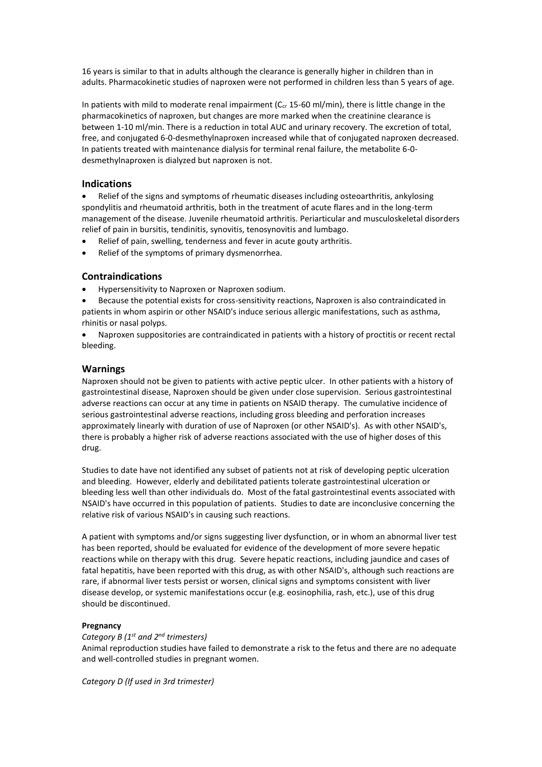16 years is similar to that in adults although the clearance is generally higher in children than in adults. Pharmacokinetic studies of naproxen were not performed in children less than 5 years of age.

In patients with mild to moderate renal impairment ( $C_{cr}$  15-60 ml/min), there is little change in the pharmacokinetics of naproxen, but changes are more marked when the creatinine clearance is between 1-10 ml/min. There is a reduction in total AUC and urinary recovery. The excretion of total, free, and conjugated 6-0-desmethylnaproxen increased while that of conjugated naproxen decreased. In patients treated with maintenance dialysis for terminal renal failure, the metabolite 6-0 desmethylnaproxen is dialyzed but naproxen is not.

# **Indications**

 Relief of the signs and symptoms of rheumatic diseases including osteoarthritis, ankylosing spondylitis and rheumatoid arthritis, both in the treatment of acute flares and in the long-term management of the disease. Juvenile rheumatoid arthritis. Periarticular and musculoskeletal disorders relief of pain in bursitis, tendinitis, synovitis, tenosynovitis and lumbago.

- Relief of pain, swelling, tenderness and fever in acute gouty arthritis.
- Relief of the symptoms of primary dysmenorrhea.

# **Contraindications**

- Hypersensitivity to Naproxen or Naproxen sodium.
- Because the potential exists for cross-sensitivity reactions, Naproxen is also contraindicated in patients in whom aspirin or other NSAID's induce serious allergic manifestations, such as asthma, rhinitis or nasal polyps.
- Naproxen suppositories are contraindicated in patients with a history of proctitis or recent rectal bleeding.

# **Warnings**

Naproxen should not be given to patients with active peptic ulcer. In other patients with a history of gastrointestinal disease, Naproxen should be given under close supervision. Serious gastrointestinal adverse reactions can occur at any time in patients on NSAID therapy. The cumulative incidence of serious gastrointestinal adverse reactions, including gross bleeding and perforation increases approximately linearly with duration of use of Naproxen (or other NSAID's). As with other NSAID's, there is probably a higher risk of adverse reactions associated with the use of higher doses of this drug.

Studies to date have not identified any subset of patients not at risk of developing peptic ulceration and bleeding. However, elderly and debilitated patients tolerate gastrointestinal ulceration or bleeding less well than other individuals do. Most of the fatal gastrointestinal events associated with NSAID's have occurred in this population of patients. Studies to date are inconclusive concerning the relative risk of various NSAID's in causing such reactions.

A patient with symptoms and/or signs suggesting liver dysfunction, or in whom an abnormal liver test has been reported, should be evaluated for evidence of the development of more severe hepatic reactions while on therapy with this drug. Severe hepatic reactions, including jaundice and cases of fatal hepatitis, have been reported with this drug, as with other NSAID's, although such reactions are rare, if abnormal liver tests persist or worsen, clinical signs and symptoms consistent with liver disease develop, or systemic manifestations occur (e.g. eosinophilia, rash, etc.), use of this drug should be discontinued.

# **Pregnancy**

# *Category B (1 st and 2nd trimesters)*

Animal reproduction studies have failed to demonstrate a risk to the fetus and there are no adequate and well-controlled studies in pregnant women.

*Category D (If used in 3rd trimester)*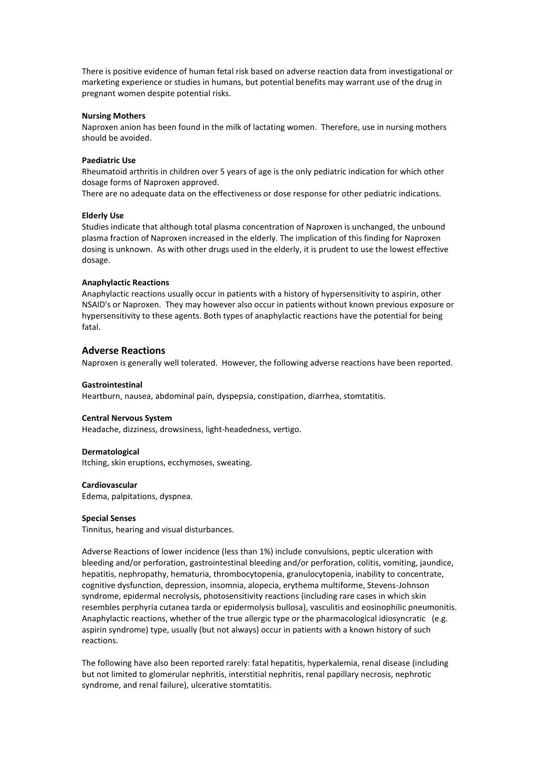There is positive evidence of human fetal risk based on adverse reaction data from investigational or marketing experience or studies in humans, but potential benefits may warrant use of the drug in pregnant women despite potential risks.

### **Nursing Mothers**

Naproxen anion has been found in the milk of lactating women. Therefore, use in nursing mothers should be avoided.

### **Paediatric Use**

Rheumatoid arthritis in children over 5 years of age is the only pediatric indication for which other dosage forms of Naproxen approved.

There are no adequate data on the effectiveness or dose response for other pediatric indications.

# **Elderly Use**

Studies indicate that although total plasma concentration of Naproxen is unchanged, the unbound plasma fraction of Naproxen increased in the elderly. The implication of this finding for Naproxen dosing is unknown. As with other drugs used in the elderly, it is prudent to use the lowest effective dosage.

#### **Anaphylactic Reactions**

Anaphylactic reactions usually occur in patients with a history of hypersensitivity to aspirin, other NSAID's or Naproxen. They may however also occur in patients without known previous exposure or hypersensitivity to these agents. Both types of anaphylactic reactions have the potential for being fatal.

### **Adverse Reactions**

Naproxen is generally well tolerated. However, the following adverse reactions have been reported.

#### **Gastrointestinal**

Heartburn, nausea, abdominal pain, dyspepsia, constipation, diarrhea, stomtatitis.

#### **Central Nervous System**

Headache, dizziness, drowsiness, light-headedness, vertigo.

#### **Dermatological**

Itching, skin eruptions, ecchymoses, sweating.

#### **Cardiovascular**

Edema, palpitations, dyspnea.

#### **Special Senses**

Tinnitus, hearing and visual disturbances.

Adverse Reactions of lower incidence (less than 1%) include convulsions, peptic ulceration with bleeding and/or perforation, gastrointestinal bleeding and/or perforation, colitis, vomiting, jaundice, hepatitis, nephropathy, hematuria, thrombocytopenia, granulocytopenia, inability to concentrate, cognitive dysfunction, depression, insomnia, alopecia, erythema multiforme, Stevens-Johnson syndrome, epidermal necrolysis, photosensitivity reactions (including rare cases in which skin resembles perphyria cutanea tarda or epidermolysis bullosa), vasculitis and eosinophilic pneumonitis. Anaphylactic reactions, whether of the true allergic type or the pharmacological idiosyncratic (e.g. aspirin syndrome) type, usually (but not always) occur in patients with a known history of such reactions.

The following have also been reported rarely: fatal hepatitis, hyperkalemia, renal disease (including but not limited to glomerular nephritis, interstitial nephritis, renal papillary necrosis, nephrotic syndrome, and renal failure), ulcerative stomtatitis.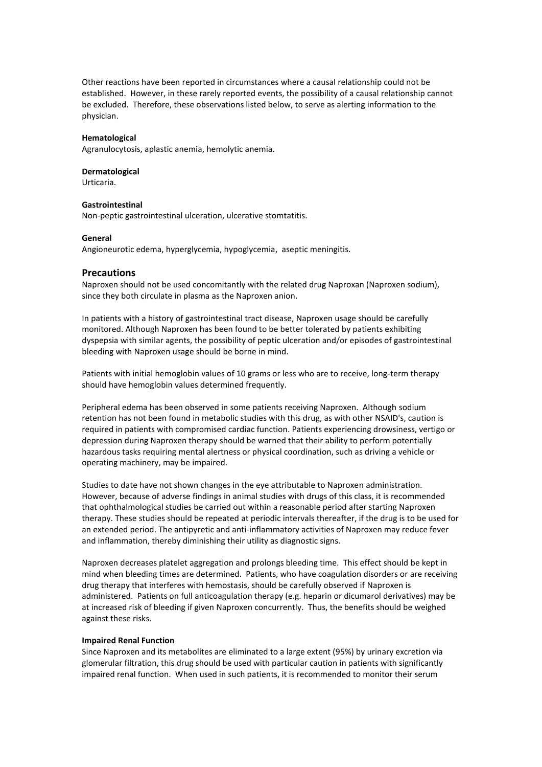Other reactions have been reported in circumstances where a causal relationship could not be established. However, in these rarely reported events, the possibility of a causal relationship cannot be excluded. Therefore, these observations listed below, to serve as alerting information to the physician.

### **Hematological**

Agranulocytosis, aplastic anemia, hemolytic anemia.

#### **Dermatological**

Urticaria.

# **Gastrointestinal**

Non-peptic gastrointestinal ulceration, ulcerative stomtatitis.

#### **General**

Angioneurotic edema, hyperglycemia, hypoglycemia, aseptic meningitis.

### **Precautions**

Naproxen should not be used concomitantly with the related drug Naproxan (Naproxen sodium), since they both circulate in plasma as the Naproxen anion.

In patients with a history of gastrointestinal tract disease, Naproxen usage should be carefully monitored. Although Naproxen has been found to be better tolerated by patients exhibiting dyspepsia with similar agents, the possibility of peptic ulceration and/or episodes of gastrointestinal bleeding with Naproxen usage should be borne in mind.

Patients with initial hemoglobin values of 10 grams or less who are to receive, long-term therapy should have hemoglobin values determined frequently.

Peripheral edema has been observed in some patients receiving Naproxen. Although sodium retention has not been found in metabolic studies with this drug, as with other NSAID's, caution is required in patients with compromised cardiac function. Patients experiencing drowsiness, vertigo or depression during Naproxen therapy should be warned that their ability to perform potentially hazardous tasks requiring mental alertness or physical coordination, such as driving a vehicle or operating machinery, may be impaired.

Studies to date have not shown changes in the eye attributable to Naproxen administration. However, because of adverse findings in animal studies with drugs of this class, it is recommended that ophthalmological studies be carried out within a reasonable period after starting Naproxen therapy. These studies should be repeated at periodic intervals thereafter, if the drug is to be used for an extended period. The antipyretic and anti-inflammatory activities of Naproxen may reduce fever and inflammation, thereby diminishing their utility as diagnostic signs.

Naproxen decreases platelet aggregation and prolongs bleeding time. This effect should be kept in mind when bleeding times are determined. Patients, who have coagulation disorders or are receiving drug therapy that interferes with hemostasis, should be carefully observed if Naproxen is administered. Patients on full anticoagulation therapy (e.g. heparin or dicumarol derivatives) may be at increased risk of bleeding if given Naproxen concurrently. Thus, the benefits should be weighed against these risks.

#### **Impaired Renal Function**

Since Naproxen and its metabolites are eliminated to a large extent (95%) by urinary excretion via glomerular filtration, this drug should be used with particular caution in patients with significantly impaired renal function. When used in such patients, it is recommended to monitor their serum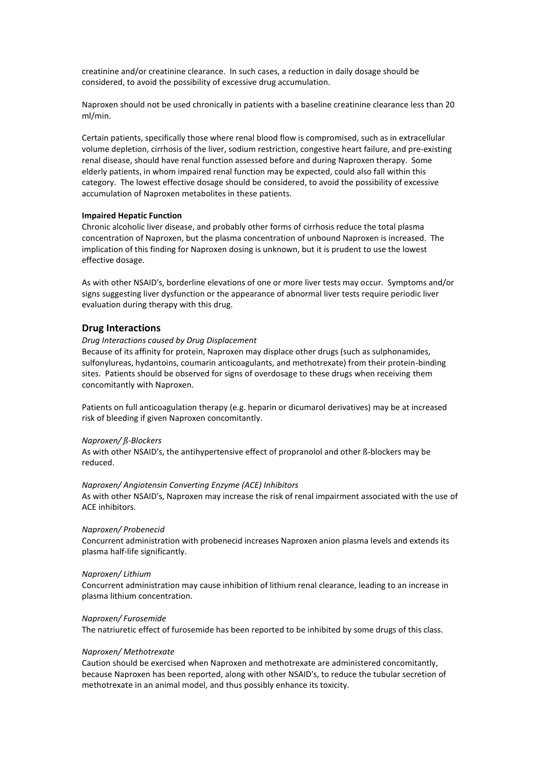creatinine and/or creatinine clearance. In such cases, a reduction in daily dosage should be considered, to avoid the possibility of excessive drug accumulation.

Naproxen should not be used chronically in patients with a baseline creatinine clearance less than 20 ml/min.

Certain patients, specifically those where renal blood flow is compromised, such as in extracellular volume depletion, cirrhosis of the liver, sodium restriction, congestive heart failure, and pre-existing renal disease, should have renal function assessed before and during Naproxen therapy. Some elderly patients, in whom impaired renal function may be expected, could also fall within this category. The lowest effective dosage should be considered, to avoid the possibility of excessive accumulation of Naproxen metabolites in these patients.

### **Impaired Hepatic Function**

Chronic alcoholic liver disease, and probably other forms of cirrhosis reduce the total plasma concentration of Naproxen, but the plasma concentration of unbound Naproxen is increased. The implication of this finding for Naproxen dosing is unknown, but it is prudent to use the lowest effective dosage.

As with other NSAID's, borderline elevations of one or more liver tests may occur. Symptoms and/or signs suggesting liver dysfunction or the appearance of abnormal liver tests require periodic liver evaluation during therapy with this drug.

### **Drug Interactions**

### *Drug Interactions caused by Drug Displacement*

Because of its affinity for protein, Naproxen may displace other drugs (such as sulphonamides, sulfonylureas, hydantoins, coumarin anticoagulants, and methotrexate) from their protein-binding sites. Patients should be observed for signs of overdosage to these drugs when receiving them concomitantly with Naproxen.

Patients on full anticoagulation therapy (e.g. heparin or dicumarol derivatives) may be at increased risk of bleeding if given Naproxen concomitantly.

### *Naproxen/ ß-Blockers*

As with other NSAID's, the antihypertensive effect of propranolol and other ß-blockers may be reduced.

## *Naproxen/ Angiotensin Converting Enzyme (ACE) Inhibitors*

As with other NSAID's, Naproxen may increase the risk of renal impairment associated with the use of ACE inhibitors.

#### *Naproxen/ Probenecid*

Concurrent administration with probenecid increases Naproxen anion plasma levels and extends its plasma half-life significantly.

#### *Naproxen/ Lithium*

Concurrent administration may cause inhibition of lithium renal clearance, leading to an increase in plasma lithium concentration.

#### *Naproxen/ Furosemide*

The natriuretic effect of furosemide has been reported to be inhibited by some drugs of this class.

### *Naproxen/ Methotrexate*

Caution should be exercised when Naproxen and methotrexate are administered concomitantly, because Naproxen has been reported, along with other NSAID's, to reduce the tubular secretion of methotrexate in an animal model, and thus possibly enhance its toxicity.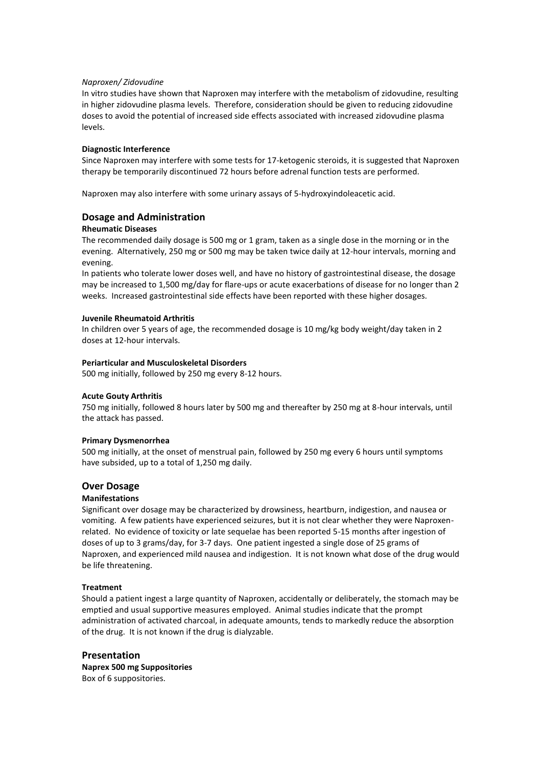# *Naproxen/ Zidovudine*

In vitro studies have shown that Naproxen may interfere with the metabolism of zidovudine, resulting in higher zidovudine plasma levels. Therefore, consideration should be given to reducing zidovudine doses to avoid the potential of increased side effects associated with increased zidovudine plasma levels.

# **Diagnostic Interference**

Since Naproxen may interfere with some tests for 17-ketogenic steroids, it is suggested that Naproxen therapy be temporarily discontinued 72 hours before adrenal function tests are performed.

Naproxen may also interfere with some urinary assays of 5-hydroxyindoleacetic acid.

# **Dosage and Administration**

# **Rheumatic Diseases**

The recommended daily dosage is 500 mg or 1 gram, taken as a single dose in the morning or in the evening. Alternatively, 250 mg or 500 mg may be taken twice daily at 12-hour intervals, morning and evening.

In patients who tolerate lower doses well, and have no history of gastrointestinal disease, the dosage may be increased to 1,500 mg/day for flare-ups or acute exacerbations of disease for no longer than 2 weeks. Increased gastrointestinal side effects have been reported with these higher dosages.

# **Juvenile Rheumatoid Arthritis**

In children over 5 years of age, the recommended dosage is 10 mg/kg body weight/day taken in 2 doses at 12-hour intervals.

# **Periarticular and Musculoskeletal Disorders**

500 mg initially, followed by 250 mg every 8-12 hours.

### **Acute Gouty Arthritis**

750 mg initially, followed 8 hours later by 500 mg and thereafter by 250 mg at 8-hour intervals, until the attack has passed.

### **Primary Dysmenorrhea**

500 mg initially, at the onset of menstrual pain, followed by 250 mg every 6 hours until symptoms have subsided, up to a total of 1,250 mg daily.

# **Over Dosage**

### **Manifestations**

Significant over dosage may be characterized by drowsiness, heartburn, indigestion, and nausea or vomiting. A few patients have experienced seizures, but it is not clear whether they were Naproxenrelated. No evidence of toxicity or late sequelae has been reported 5-15 months after ingestion of doses of up to 3 grams/day, for 3-7 days. One patient ingested a single dose of 25 grams of Naproxen, and experienced mild nausea and indigestion. It is not known what dose of the drug would be life threatening.

### **Treatment**

Should a patient ingest a large quantity of Naproxen, accidentally or deliberately, the stomach may be emptied and usual supportive measures employed. Animal studies indicate that the prompt administration of activated charcoal, in adequate amounts, tends to markedly reduce the absorption of the drug. It is not known if the drug is dialyzable.

# **Presentation Naprex 500 mg Suppositories**  Box of 6 suppositories.